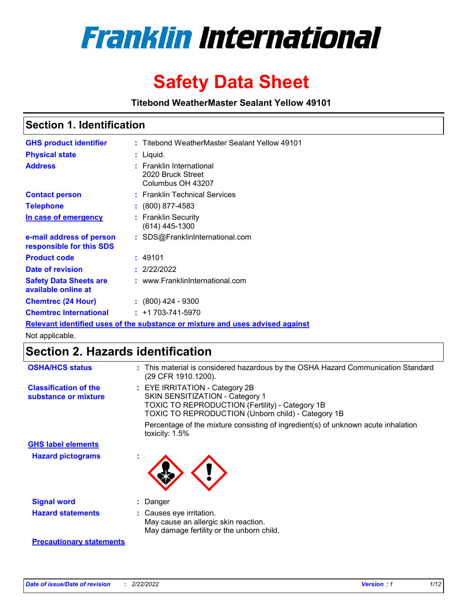

# **Safety Data Sheet**

**Titebond WeatherMaster Sealant Yellow 49101**

### **Section 1. Identification**

| <b>GHS product identifier</b>                                                 | : Titebond WeatherMaster Sealant Yellow 49101                      |  |  |  |
|-------------------------------------------------------------------------------|--------------------------------------------------------------------|--|--|--|
| <b>Physical state</b>                                                         | : Liquid.                                                          |  |  |  |
| <b>Address</b>                                                                | : Franklin International<br>2020 Bruck Street<br>Columbus OH 43207 |  |  |  |
| <b>Contact person</b>                                                         | : Franklin Technical Services                                      |  |  |  |
| <b>Telephone</b>                                                              | $\colon$ (800) 877-4583                                            |  |  |  |
| In case of emergency                                                          | : Franklin Security<br>(614) 445-1300                              |  |  |  |
| e-mail address of person<br>responsible for this SDS                          | : SDS@FranklinInternational.com                                    |  |  |  |
| <b>Product code</b>                                                           | : 49101                                                            |  |  |  |
| Date of revision                                                              | : 2/22/2022                                                        |  |  |  |
| <b>Safety Data Sheets are</b><br>available online at                          | : www.FranklinInternational.com                                    |  |  |  |
| <b>Chemtrec (24 Hour)</b>                                                     | $\div$ (800) 424 - 9300                                            |  |  |  |
| <b>Chemtrec International</b>                                                 | $: +1703 - 741 - 5970$                                             |  |  |  |
| Relevant identified uses of the substance or mixture and uses advised against |                                                                    |  |  |  |

Not applicable.

## **Section 2. Hazards identification**

| <b>OSHA/HCS status</b>                               | : This material is considered hazardous by the OSHA Hazard Communication Standard<br>(29 CFR 1910.1200).                                                                          |
|------------------------------------------------------|-----------------------------------------------------------------------------------------------------------------------------------------------------------------------------------|
| <b>Classification of the</b><br>substance or mixture | : EYE IRRITATION - Category 2B<br>SKIN SENSITIZATION - Category 1<br><b>TOXIC TO REPRODUCTION (Fertility) - Category 1B</b><br>TOXIC TO REPRODUCTION (Unborn child) - Category 1B |
|                                                      | Percentage of the mixture consisting of ingredient(s) of unknown acute inhalation<br>toxicity: $1.5\%$                                                                            |
| <b>GHS label elements</b>                            |                                                                                                                                                                                   |
| <b>Hazard pictograms</b>                             |                                                                                                                                                                                   |
| <b>Signal word</b>                                   | : Danger                                                                                                                                                                          |
| <b>Hazard statements</b>                             | : Causes eye irritation.<br>May cause an allergic skin reaction.<br>May damage fertility or the unborn child.                                                                     |
| <b>Precautionary statements</b>                      |                                                                                                                                                                                   |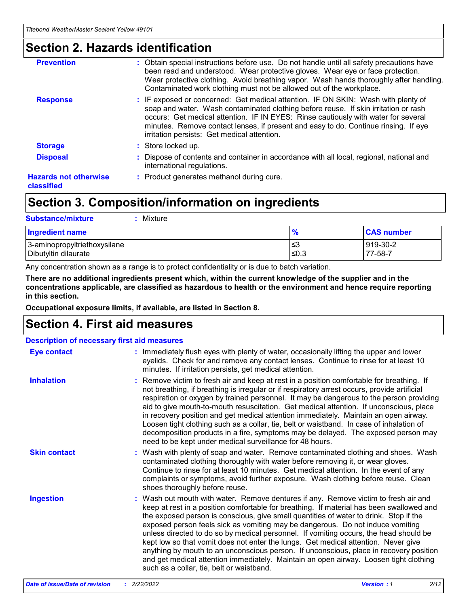### **Section 2. Hazards identification**

| <b>Prevention</b>                          | : Obtain special instructions before use. Do not handle until all safety precautions have<br>been read and understood. Wear protective gloves. Wear eye or face protection.<br>Wear protective clothing. Avoid breathing vapor. Wash hands thoroughly after handling.<br>Contaminated work clothing must not be allowed out of the workplace.                                                        |
|--------------------------------------------|------------------------------------------------------------------------------------------------------------------------------------------------------------------------------------------------------------------------------------------------------------------------------------------------------------------------------------------------------------------------------------------------------|
| <b>Response</b>                            | : IF exposed or concerned: Get medical attention. IF ON SKIN: Wash with plenty of<br>soap and water. Wash contaminated clothing before reuse. If skin irritation or rash<br>occurs: Get medical attention. IF IN EYES: Rinse cautiously with water for several<br>minutes. Remove contact lenses, if present and easy to do. Continue rinsing. If eye<br>irritation persists: Get medical attention. |
| <b>Storage</b>                             | : Store locked up.                                                                                                                                                                                                                                                                                                                                                                                   |
| <b>Disposal</b>                            | : Dispose of contents and container in accordance with all local, regional, national and<br>international regulations.                                                                                                                                                                                                                                                                               |
| <b>Hazards not otherwise</b><br>classified | : Product generates methanol during cure.                                                                                                                                                                                                                                                                                                                                                            |
|                                            |                                                                                                                                                                                                                                                                                                                                                                                                      |

## **Section 3. Composition/information on ingredients**

| <b>Substance/mixture</b><br>Mixture                  |                   |                     |
|------------------------------------------------------|-------------------|---------------------|
| <b>Ingredient name</b>                               | $\frac{9}{6}$     | <b>CAS number</b>   |
| 3-aminopropyltriethoxysilane<br>Dibutyltin dilaurate | l≤3<br>$\leq 0.3$ | 919-30-2<br>77-58-7 |

Any concentration shown as a range is to protect confidentiality or is due to batch variation.

**There are no additional ingredients present which, within the current knowledge of the supplier and in the concentrations applicable, are classified as hazardous to health or the environment and hence require reporting in this section.**

**Occupational exposure limits, if available, are listed in Section 8.**

### **Section 4. First aid measures**

| <b>Description of necessary first aid measures</b> |                                                                                                                                                                                                                                                                                                                                                                                                                                                                                                                                                                                                                                                                                                                                                                           |  |  |  |
|----------------------------------------------------|---------------------------------------------------------------------------------------------------------------------------------------------------------------------------------------------------------------------------------------------------------------------------------------------------------------------------------------------------------------------------------------------------------------------------------------------------------------------------------------------------------------------------------------------------------------------------------------------------------------------------------------------------------------------------------------------------------------------------------------------------------------------------|--|--|--|
| <b>Eye contact</b>                                 | : Immediately flush eyes with plenty of water, occasionally lifting the upper and lower<br>eyelids. Check for and remove any contact lenses. Continue to rinse for at least 10<br>minutes. If irritation persists, get medical attention.                                                                                                                                                                                                                                                                                                                                                                                                                                                                                                                                 |  |  |  |
| <b>Inhalation</b>                                  | : Remove victim to fresh air and keep at rest in a position comfortable for breathing. If<br>not breathing, if breathing is irregular or if respiratory arrest occurs, provide artificial<br>respiration or oxygen by trained personnel. It may be dangerous to the person providing<br>aid to give mouth-to-mouth resuscitation. Get medical attention. If unconscious, place<br>in recovery position and get medical attention immediately. Maintain an open airway.<br>Loosen tight clothing such as a collar, tie, belt or waistband. In case of inhalation of<br>decomposition products in a fire, symptoms may be delayed. The exposed person may<br>need to be kept under medical surveillance for 48 hours.                                                       |  |  |  |
| <b>Skin contact</b>                                | : Wash with plenty of soap and water. Remove contaminated clothing and shoes. Wash<br>contaminated clothing thoroughly with water before removing it, or wear gloves.<br>Continue to rinse for at least 10 minutes. Get medical attention. In the event of any<br>complaints or symptoms, avoid further exposure. Wash clothing before reuse. Clean<br>shoes thoroughly before reuse.                                                                                                                                                                                                                                                                                                                                                                                     |  |  |  |
| <b>Ingestion</b>                                   | : Wash out mouth with water. Remove dentures if any. Remove victim to fresh air and<br>keep at rest in a position comfortable for breathing. If material has been swallowed and<br>the exposed person is conscious, give small quantities of water to drink. Stop if the<br>exposed person feels sick as vomiting may be dangerous. Do not induce vomiting<br>unless directed to do so by medical personnel. If vomiting occurs, the head should be<br>kept low so that vomit does not enter the lungs. Get medical attention. Never give<br>anything by mouth to an unconscious person. If unconscious, place in recovery position<br>and get medical attention immediately. Maintain an open airway. Loosen tight clothing<br>such as a collar, tie, belt or waistband. |  |  |  |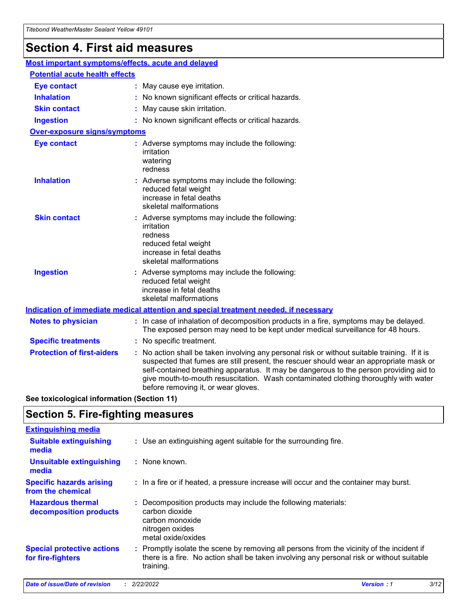## **Section 4. First aid measures**

| Most important symptoms/effects, acute and delayed |  |                                                                                                                                                                                                                                                                                                                                                                                                                 |  |  |
|----------------------------------------------------|--|-----------------------------------------------------------------------------------------------------------------------------------------------------------------------------------------------------------------------------------------------------------------------------------------------------------------------------------------------------------------------------------------------------------------|--|--|
| <b>Potential acute health effects</b>              |  |                                                                                                                                                                                                                                                                                                                                                                                                                 |  |  |
| <b>Eye contact</b>                                 |  | : May cause eye irritation.                                                                                                                                                                                                                                                                                                                                                                                     |  |  |
| <b>Inhalation</b>                                  |  | : No known significant effects or critical hazards.                                                                                                                                                                                                                                                                                                                                                             |  |  |
| <b>Skin contact</b>                                |  | : May cause skin irritation.                                                                                                                                                                                                                                                                                                                                                                                    |  |  |
| <b>Ingestion</b>                                   |  | : No known significant effects or critical hazards.                                                                                                                                                                                                                                                                                                                                                             |  |  |
| <b>Over-exposure signs/symptoms</b>                |  |                                                                                                                                                                                                                                                                                                                                                                                                                 |  |  |
| <b>Eye contact</b>                                 |  | : Adverse symptoms may include the following:<br>irritation<br>watering<br>redness                                                                                                                                                                                                                                                                                                                              |  |  |
| <b>Inhalation</b>                                  |  | : Adverse symptoms may include the following:<br>reduced fetal weight<br>increase in fetal deaths<br>skeletal malformations                                                                                                                                                                                                                                                                                     |  |  |
| <b>Skin contact</b>                                |  | : Adverse symptoms may include the following:<br>irritation<br>redness<br>reduced fetal weight<br>increase in fetal deaths<br>skeletal malformations                                                                                                                                                                                                                                                            |  |  |
| <b>Ingestion</b>                                   |  | : Adverse symptoms may include the following:<br>reduced fetal weight<br>increase in fetal deaths<br>skeletal malformations                                                                                                                                                                                                                                                                                     |  |  |
|                                                    |  | <b>Indication of immediate medical attention and special treatment needed, if necessary</b>                                                                                                                                                                                                                                                                                                                     |  |  |
| <b>Notes to physician</b>                          |  | : In case of inhalation of decomposition products in a fire, symptoms may be delayed.<br>The exposed person may need to be kept under medical surveillance for 48 hours.                                                                                                                                                                                                                                        |  |  |
| <b>Specific treatments</b>                         |  | : No specific treatment.                                                                                                                                                                                                                                                                                                                                                                                        |  |  |
| <b>Protection of first-aiders</b>                  |  | : No action shall be taken involving any personal risk or without suitable training. If it is<br>suspected that fumes are still present, the rescuer should wear an appropriate mask or<br>self-contained breathing apparatus. It may be dangerous to the person providing aid to<br>give mouth-to-mouth resuscitation. Wash contaminated clothing thoroughly with water<br>before removing it, or wear gloves. |  |  |

**See toxicological information (Section 11)**

### **Section 5. Fire-fighting measures**

| <b>Extinguishing media</b>                             |                                                                                                                                                                                                     |
|--------------------------------------------------------|-----------------------------------------------------------------------------------------------------------------------------------------------------------------------------------------------------|
| <b>Suitable extinguishing</b><br>media                 | : Use an extinguishing agent suitable for the surrounding fire.                                                                                                                                     |
| <b>Unsuitable extinguishing</b><br>media               | : None known.                                                                                                                                                                                       |
| <b>Specific hazards arising</b><br>from the chemical   | : In a fire or if heated, a pressure increase will occur and the container may burst.                                                                                                               |
| <b>Hazardous thermal</b><br>decomposition products     | : Decomposition products may include the following materials:<br>carbon dioxide<br>carbon monoxide<br>nitrogen oxides<br>metal oxide/oxides                                                         |
| <b>Special protective actions</b><br>for fire-fighters | : Promptly isolate the scene by removing all persons from the vicinity of the incident if<br>there is a fire. No action shall be taken involving any personal risk or without suitable<br>training. |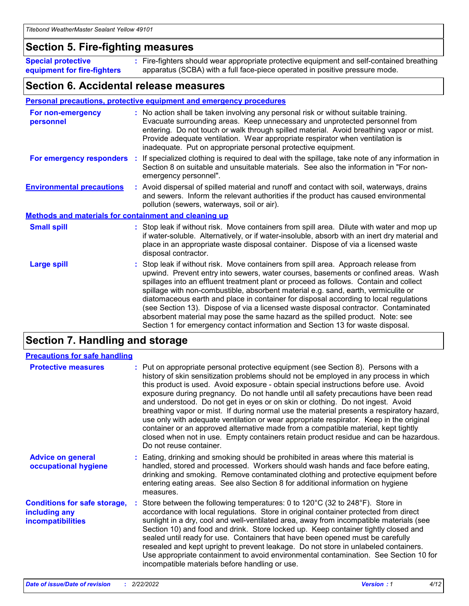### **Section 5. Fire-fighting measures**

**Special protective equipment for fire-fighters** Fire-fighters should wear appropriate protective equipment and self-contained breathing **:** apparatus (SCBA) with a full face-piece operated in positive pressure mode.

### **Section 6. Accidental release measures**

#### **Personal precautions, protective equipment and emergency procedures**

| For non-emergency<br>personnel   |                                                              | : No action shall be taken involving any personal risk or without suitable training.<br>Evacuate surrounding areas. Keep unnecessary and unprotected personnel from<br>entering. Do not touch or walk through spilled material. Avoid breathing vapor or mist.<br>Provide adequate ventilation. Wear appropriate respirator when ventilation is<br>inadequate. Put on appropriate personal protective equipment.                                                                                                                                                                                                                                                                                             |  |  |  |
|----------------------------------|--------------------------------------------------------------|--------------------------------------------------------------------------------------------------------------------------------------------------------------------------------------------------------------------------------------------------------------------------------------------------------------------------------------------------------------------------------------------------------------------------------------------------------------------------------------------------------------------------------------------------------------------------------------------------------------------------------------------------------------------------------------------------------------|--|--|--|
|                                  |                                                              | For emergency responders : If specialized clothing is required to deal with the spillage, take note of any information in<br>Section 8 on suitable and unsuitable materials. See also the information in "For non-<br>emergency personnel".                                                                                                                                                                                                                                                                                                                                                                                                                                                                  |  |  |  |
| <b>Environmental precautions</b> |                                                              | : Avoid dispersal of spilled material and runoff and contact with soil, waterways, drains<br>and sewers. Inform the relevant authorities if the product has caused environmental<br>pollution (sewers, waterways, soil or air).                                                                                                                                                                                                                                                                                                                                                                                                                                                                              |  |  |  |
|                                  | <b>Methods and materials for containment and cleaning up</b> |                                                                                                                                                                                                                                                                                                                                                                                                                                                                                                                                                                                                                                                                                                              |  |  |  |
| <b>Small spill</b>               |                                                              | : Stop leak if without risk. Move containers from spill area. Dilute with water and mop up<br>if water-soluble. Alternatively, or if water-insoluble, absorb with an inert dry material and<br>place in an appropriate waste disposal container. Dispose of via a licensed waste<br>disposal contractor.                                                                                                                                                                                                                                                                                                                                                                                                     |  |  |  |
| <b>Large spill</b>               |                                                              | : Stop leak if without risk. Move containers from spill area. Approach release from<br>upwind. Prevent entry into sewers, water courses, basements or confined areas. Wash<br>spillages into an effluent treatment plant or proceed as follows. Contain and collect<br>spillage with non-combustible, absorbent material e.g. sand, earth, vermiculite or<br>diatomaceous earth and place in container for disposal according to local regulations<br>(see Section 13). Dispose of via a licensed waste disposal contractor. Contaminated<br>absorbent material may pose the same hazard as the spilled product. Note: see<br>Section 1 for emergency contact information and Section 13 for waste disposal. |  |  |  |

### **Section 7. Handling and storage**

| <b>Precautions for safe handling</b>                                             |                                                                                                                                                                                                                                                                                                                                                                                                                                                                                                                                                                                                                                                                                                                                                                                                                                                  |
|----------------------------------------------------------------------------------|--------------------------------------------------------------------------------------------------------------------------------------------------------------------------------------------------------------------------------------------------------------------------------------------------------------------------------------------------------------------------------------------------------------------------------------------------------------------------------------------------------------------------------------------------------------------------------------------------------------------------------------------------------------------------------------------------------------------------------------------------------------------------------------------------------------------------------------------------|
| <b>Protective measures</b>                                                       | : Put on appropriate personal protective equipment (see Section 8). Persons with a<br>history of skin sensitization problems should not be employed in any process in which<br>this product is used. Avoid exposure - obtain special instructions before use. Avoid<br>exposure during pregnancy. Do not handle until all safety precautions have been read<br>and understood. Do not get in eyes or on skin or clothing. Do not ingest. Avoid<br>breathing vapor or mist. If during normal use the material presents a respiratory hazard,<br>use only with adequate ventilation or wear appropriate respirator. Keep in the original<br>container or an approved alternative made from a compatible material, kept tightly<br>closed when not in use. Empty containers retain product residue and can be hazardous.<br>Do not reuse container. |
| <b>Advice on general</b><br>occupational hygiene                                 | : Eating, drinking and smoking should be prohibited in areas where this material is<br>handled, stored and processed. Workers should wash hands and face before eating,<br>drinking and smoking. Remove contaminated clothing and protective equipment before<br>entering eating areas. See also Section 8 for additional information on hygiene<br>measures.                                                                                                                                                                                                                                                                                                                                                                                                                                                                                    |
| <b>Conditions for safe storage,</b><br>including any<br><b>incompatibilities</b> | Store between the following temperatures: 0 to 120 $\degree$ C (32 to 248 $\degree$ F). Store in<br>accordance with local regulations. Store in original container protected from direct<br>sunlight in a dry, cool and well-ventilated area, away from incompatible materials (see<br>Section 10) and food and drink. Store locked up. Keep container tightly closed and<br>sealed until ready for use. Containers that have been opened must be carefully<br>resealed and kept upright to prevent leakage. Do not store in unlabeled containers.<br>Use appropriate containment to avoid environmental contamination. See Section 10 for<br>incompatible materials before handling or use.                                                                                                                                                     |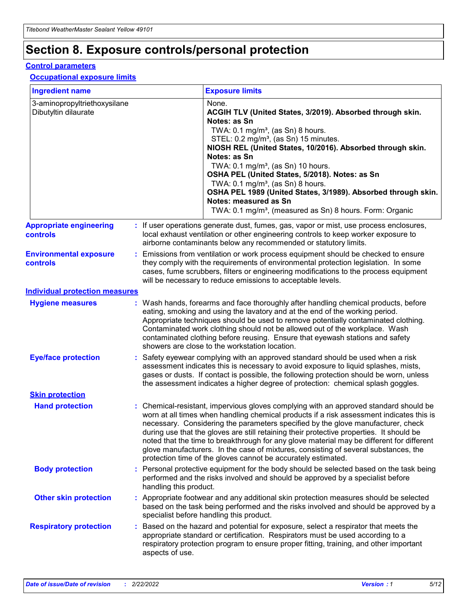## **Section 8. Exposure controls/personal protection**

#### **Control parameters**

#### **Occupational exposure limits**

| <b>Ingredient name</b>                               |                        | <b>Exposure limits</b>                                                                                                                                                                                                                                                                                                                                                                                                                                                                                                                                                                                                 |
|------------------------------------------------------|------------------------|------------------------------------------------------------------------------------------------------------------------------------------------------------------------------------------------------------------------------------------------------------------------------------------------------------------------------------------------------------------------------------------------------------------------------------------------------------------------------------------------------------------------------------------------------------------------------------------------------------------------|
| 3-aminopropyltriethoxysilane<br>Dibutyltin dilaurate |                        | None.<br>ACGIH TLV (United States, 3/2019). Absorbed through skin.<br>Notes: as Sn<br>TWA: 0.1 mg/m <sup>3</sup> , (as Sn) 8 hours.<br>STEL: 0.2 mg/m <sup>3</sup> , (as Sn) 15 minutes.<br>NIOSH REL (United States, 10/2016). Absorbed through skin.<br>Notes: as Sn<br>TWA: 0.1 mg/m <sup>3</sup> , (as Sn) 10 hours.<br>OSHA PEL (United States, 5/2018). Notes: as Sn<br>TWA: $0.1 \text{ mg/m}^3$ , (as Sn) 8 hours.<br>OSHA PEL 1989 (United States, 3/1989). Absorbed through skin.<br>Notes: measured as Sn<br>TWA: 0.1 mg/m <sup>3</sup> , (measured as Sn) 8 hours. Form: Organic                           |
| <b>Appropriate engineering</b><br><b>controls</b>    |                        | : If user operations generate dust, fumes, gas, vapor or mist, use process enclosures,<br>local exhaust ventilation or other engineering controls to keep worker exposure to<br>airborne contaminants below any recommended or statutory limits.                                                                                                                                                                                                                                                                                                                                                                       |
| <b>Environmental exposure</b><br><b>controls</b>     |                        | Emissions from ventilation or work process equipment should be checked to ensure<br>they comply with the requirements of environmental protection legislation. In some<br>cases, fume scrubbers, filters or engineering modifications to the process equipment<br>will be necessary to reduce emissions to acceptable levels.                                                                                                                                                                                                                                                                                          |
| <b>Individual protection measures</b>                |                        |                                                                                                                                                                                                                                                                                                                                                                                                                                                                                                                                                                                                                        |
| <b>Hygiene measures</b>                              |                        | : Wash hands, forearms and face thoroughly after handling chemical products, before<br>eating, smoking and using the lavatory and at the end of the working period.<br>Appropriate techniques should be used to remove potentially contaminated clothing.<br>Contaminated work clothing should not be allowed out of the workplace. Wash<br>contaminated clothing before reusing. Ensure that eyewash stations and safety<br>showers are close to the workstation location.                                                                                                                                            |
| <b>Eye/face protection</b>                           |                        | : Safety eyewear complying with an approved standard should be used when a risk<br>assessment indicates this is necessary to avoid exposure to liquid splashes, mists,<br>gases or dusts. If contact is possible, the following protection should be worn, unless<br>the assessment indicates a higher degree of protection: chemical splash goggles.                                                                                                                                                                                                                                                                  |
| <b>Skin protection</b>                               |                        |                                                                                                                                                                                                                                                                                                                                                                                                                                                                                                                                                                                                                        |
| <b>Hand protection</b>                               |                        | : Chemical-resistant, impervious gloves complying with an approved standard should be<br>worn at all times when handling chemical products if a risk assessment indicates this is<br>necessary. Considering the parameters specified by the glove manufacturer, check<br>during use that the gloves are still retaining their protective properties. It should be<br>noted that the time to breakthrough for any glove material may be different for different<br>glove manufacturers. In the case of mixtures, consisting of several substances, the<br>protection time of the gloves cannot be accurately estimated. |
| <b>Body protection</b>                               | handling this product. | : Personal protective equipment for the body should be selected based on the task being<br>performed and the risks involved and should be approved by a specialist before                                                                                                                                                                                                                                                                                                                                                                                                                                              |
| <b>Other skin protection</b>                         |                        | : Appropriate footwear and any additional skin protection measures should be selected<br>based on the task being performed and the risks involved and should be approved by a<br>specialist before handling this product.                                                                                                                                                                                                                                                                                                                                                                                              |
| <b>Respiratory protection</b>                        | aspects of use.        | : Based on the hazard and potential for exposure, select a respirator that meets the<br>appropriate standard or certification. Respirators must be used according to a<br>respiratory protection program to ensure proper fitting, training, and other important                                                                                                                                                                                                                                                                                                                                                       |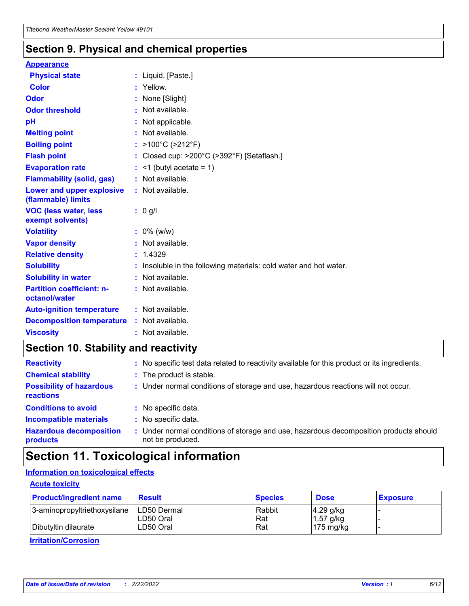### **Section 9. Physical and chemical properties**

#### **Appearance**

| <b>Physical state</b>                             | : Liquid. [Paste.]                                              |
|---------------------------------------------------|-----------------------------------------------------------------|
| Color                                             | Yellow.                                                         |
| Odor                                              | : None [Slight]                                                 |
| <b>Odor threshold</b>                             | $:$ Not available.                                              |
| рH                                                | : Not applicable.                                               |
| <b>Melting point</b>                              | : Not available.                                                |
| <b>Boiling point</b>                              | : >100°C (>212°F)                                               |
| <b>Flash point</b>                                | : Closed cup: $>200^{\circ}$ C ( $>392^{\circ}$ F) [Setaflash.] |
| <b>Evaporation rate</b>                           | $:$ <1 (butyl acetate = 1)                                      |
| <b>Flammability (solid, gas)</b>                  | : Not available.                                                |
| Lower and upper explosive<br>(flammable) limits   | : Not available.                                                |
| <b>VOC (less water, less</b>                      | $: 0$ g/l                                                       |
| exempt solvents)                                  |                                                                 |
| <b>Volatility</b>                                 | $: 0\%$ (w/w)                                                   |
| <b>Vapor density</b>                              | : Not available.                                                |
| <b>Relative density</b>                           | : 1.4329                                                        |
| <b>Solubility</b>                                 | Insoluble in the following materials: cold water and hot water. |
| <b>Solubility in water</b>                        | : Not available.                                                |
| <b>Partition coefficient: n-</b><br>octanol/water | $:$ Not available.                                              |
| <b>Auto-ignition temperature</b>                  | : Not available.                                                |
| <b>Decomposition temperature</b>                  | : Not available.                                                |

### **Section 10. Stability and reactivity**

| <b>Reactivity</b>                            | : No specific test data related to reactivity available for this product or its ingredients.            |
|----------------------------------------------|---------------------------------------------------------------------------------------------------------|
| <b>Chemical stability</b>                    | : The product is stable.                                                                                |
| <b>Possibility of hazardous</b><br>reactions | : Under normal conditions of storage and use, hazardous reactions will not occur.                       |
| <b>Conditions to avoid</b>                   | : No specific data.                                                                                     |
| <b>Incompatible materials</b>                | : No specific data.                                                                                     |
| <b>Hazardous decomposition</b><br>products   | Under normal conditions of storage and use, hazardous decomposition products should<br>not be produced. |

### **Section 11. Toxicological information**

### **Information on toxicological effects**

#### **Acute toxicity**

| <b>Product/ingredient name</b> | <b>Result</b>           | <b>Species</b> | <b>Dose</b>                | <b>Exposure</b> |
|--------------------------------|-------------------------|----------------|----------------------------|-----------------|
| 3-aminopropyltriethoxysilane   | <b>ILD50 Dermal</b>     | Rabbit         | 4.29 g/kg                  |                 |
| Dibutyltin dilaurate           | ILD50 Oral<br>LD50 Oral | Rat<br>Rat     | $1.57$ g/kg<br>175 $mg/kg$ |                 |
|                                |                         |                |                            |                 |

**Irritation/Corrosion**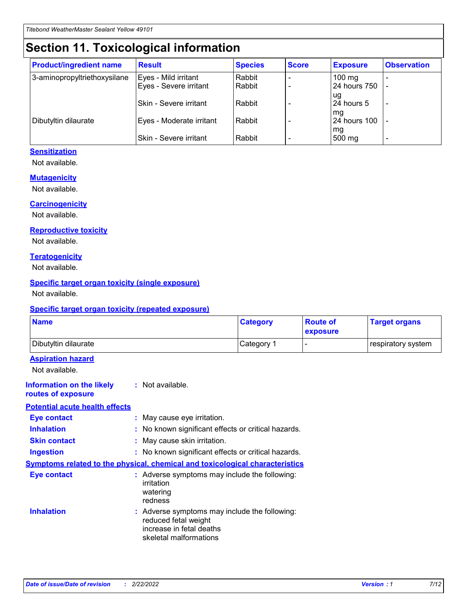## **Section 11. Toxicological information**

| <b>Product/ingredient name</b> | <b>Result</b>            | <b>Species</b> | <b>Score</b> | <b>Exposure</b>           | <b>Observation</b> |
|--------------------------------|--------------------------|----------------|--------------|---------------------------|--------------------|
| 3-aminopropyltriethoxysilane   | Eyes - Mild irritant     | Rabbit         |              | $100$ mg                  |                    |
|                                | Eyes - Severe irritant   | Rabbit         |              | 24 hours 750              |                    |
|                                |                          |                |              | ug                        |                    |
|                                | Skin - Severe irritant   | Rabbit         |              | 24 hours 5                | -                  |
| Dibutyltin dilaurate           | Eyes - Moderate irritant | Rabbit         |              | mq<br><b>24 hours 100</b> |                    |
|                                |                          |                |              | mg                        |                    |
|                                | Skin - Severe irritant   | Rabbit         |              | 500 mg                    |                    |

#### **Sensitization**

Not available.

#### **Mutagenicity**

Not available.

#### **Carcinogenicity**

Not available.

#### **Reproductive toxicity**

Not available.

#### **Teratogenicity**

Not available.

#### **Specific target organ toxicity (single exposure)**

Not available.

#### **Specific target organ toxicity (repeated exposure)**

| <b>Name</b>                                                                  |                                                                            | <b>Category</b>                                     | <b>Route of</b><br>exposure | <b>Target organs</b> |
|------------------------------------------------------------------------------|----------------------------------------------------------------------------|-----------------------------------------------------|-----------------------------|----------------------|
| Dibutyltin dilaurate                                                         |                                                                            | Category 1                                          | -                           | respiratory system   |
| <b>Aspiration hazard</b><br>Not available.                                   |                                                                            |                                                     |                             |                      |
| <b>Information on the likely</b><br>routes of exposure                       | : Not available.                                                           |                                                     |                             |                      |
| <b>Potential acute health effects</b>                                        |                                                                            |                                                     |                             |                      |
| <b>Eye contact</b>                                                           | : May cause eye irritation.                                                |                                                     |                             |                      |
| <b>Inhalation</b>                                                            |                                                                            | : No known significant effects or critical hazards. |                             |                      |
| <b>Skin contact</b>                                                          | : May cause skin irritation.                                               |                                                     |                             |                      |
| <b>Ingestion</b>                                                             |                                                                            | : No known significant effects or critical hazards. |                             |                      |
| Symptoms related to the physical, chemical and toxicological characteristics |                                                                            |                                                     |                             |                      |
| <b>Eye contact</b>                                                           | irritation<br>watering<br>redness                                          | : Adverse symptoms may include the following:       |                             |                      |
| <b>Inhalation</b>                                                            | reduced fetal weight<br>increase in fetal deaths<br>skeletal malformations | : Adverse symptoms may include the following:       |                             |                      |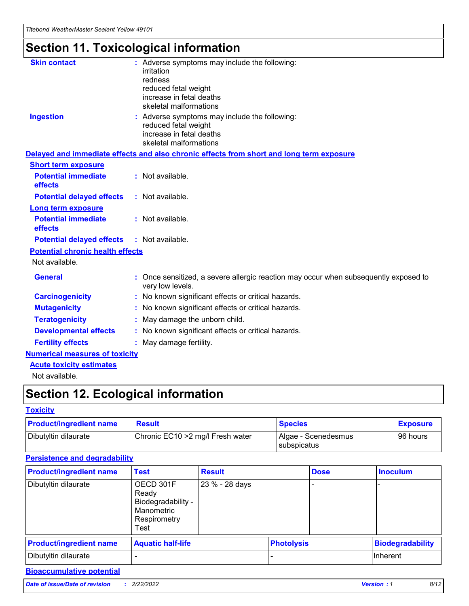# **Section 11. Toxicological information**

| <b>Skin contact</b>                     | : Adverse symptoms may include the following:<br>irritation<br>redness<br>reduced fetal weight<br>increase in fetal deaths<br>skeletal malformations |
|-----------------------------------------|------------------------------------------------------------------------------------------------------------------------------------------------------|
| <b>Ingestion</b>                        | : Adverse symptoms may include the following:<br>reduced fetal weight<br>increase in fetal deaths<br>skeletal malformations                          |
|                                         | Delayed and immediate effects and also chronic effects from short and long term exposure                                                             |
| <b>Short term exposure</b>              |                                                                                                                                                      |
| <b>Potential immediate</b><br>effects   | : Not available.                                                                                                                                     |
| <b>Potential delayed effects</b>        | : Not available.                                                                                                                                     |
| <b>Long term exposure</b>               |                                                                                                                                                      |
| <b>Potential immediate</b><br>effects   | : Not available.                                                                                                                                     |
| <b>Potential delayed effects</b>        | : Not available.                                                                                                                                     |
| <b>Potential chronic health effects</b> |                                                                                                                                                      |
| Not available.                          |                                                                                                                                                      |
| <b>General</b>                          | : Once sensitized, a severe allergic reaction may occur when subsequently exposed to<br>very low levels.                                             |
| <b>Carcinogenicity</b>                  | : No known significant effects or critical hazards.                                                                                                  |
| <b>Mutagenicity</b>                     | No known significant effects or critical hazards.                                                                                                    |
| <b>Teratogenicity</b>                   | May damage the unborn child.                                                                                                                         |
| <b>Developmental effects</b>            | No known significant effects or critical hazards.                                                                                                    |
| <b>Fertility effects</b>                | : May damage fertility.                                                                                                                              |
| <b>Numerical measures of toxicity</b>   |                                                                                                                                                      |
| <b>Acute toxicity estimates</b>         |                                                                                                                                                      |
|                                         |                                                                                                                                                      |

Not available.

## **Section 12. Ecological information**

#### **Toxicity**

| <b>Product/ingredient name</b> | <b>Result</b>                     | <b>Species</b>                       | <b>Exposure</b> |
|--------------------------------|-----------------------------------|--------------------------------------|-----------------|
| Dibutyltin dilaurate           | Chronic EC10 > 2 mg/l Fresh water | Algae - Scenedesmus<br>I subspicatus | l 96 hours      |

### **Persistence and degradability**

| <b>Product/ingredient name</b> | <b>Test</b>                                                                    | <b>Result</b>  |  | <b>Dose</b>       | <b>Inoculum</b>         |
|--------------------------------|--------------------------------------------------------------------------------|----------------|--|-------------------|-------------------------|
| Dibutyltin dilaurate           | OECD 301F<br>Ready<br>Biodegradability -<br>Manometric<br>Respirometry<br>Test | 23 % - 28 days |  |                   |                         |
| <b>Product/ingredient name</b> | <b>Aquatic half-life</b>                                                       |                |  | <b>Photolysis</b> | <b>Biodegradability</b> |
| Dibutyltin dilaurate           |                                                                                |                |  |                   | Inherent                |

### **Bioaccumulative potential**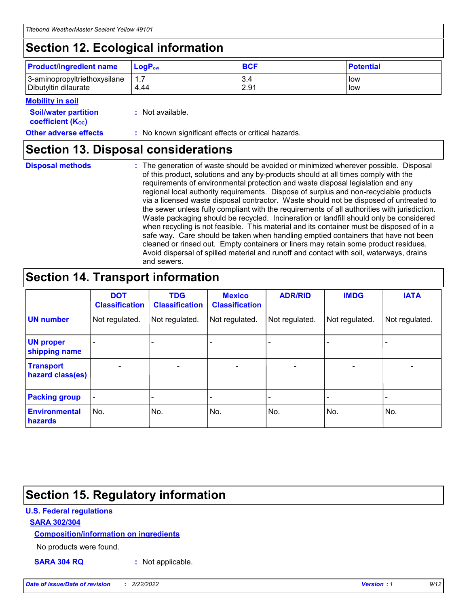## **Section 12. Ecological information**

| <b>Product/ingredient name</b> | $LoaPow$ | <b>BCF</b> | <b>Potential</b> |
|--------------------------------|----------|------------|------------------|
| 3-aminopropyltriethoxysilane   | 1.7      | 3.4        | low              |
| Dibutyltin dilaurate           | 4.44     | 2.91       | low              |

#### **Mobility in soil**

| <b>Soil/water partition</b><br>coefficient (K <sub>oc</sub> ) | : Not available.                                    |
|---------------------------------------------------------------|-----------------------------------------------------|
| <b>Other adverse effects</b>                                  | : No known significant effects or critical hazards. |

### **Section 13. Disposal considerations**

**Disposal methods :**

The generation of waste should be avoided or minimized wherever possible. Disposal of this product, solutions and any by-products should at all times comply with the requirements of environmental protection and waste disposal legislation and any regional local authority requirements. Dispose of surplus and non-recyclable products via a licensed waste disposal contractor. Waste should not be disposed of untreated to the sewer unless fully compliant with the requirements of all authorities with jurisdiction. Waste packaging should be recycled. Incineration or landfill should only be considered when recycling is not feasible. This material and its container must be disposed of in a safe way. Care should be taken when handling emptied containers that have not been cleaned or rinsed out. Empty containers or liners may retain some product residues. Avoid dispersal of spilled material and runoff and contact with soil, waterways, drains and sewers.

## **Section 14. Transport information**

|                                      | <b>DOT</b><br><b>Classification</b> | <b>TDG</b><br><b>Classification</b> | <b>Mexico</b><br><b>Classification</b> | <b>ADR/RID</b> | <b>IMDG</b>              | <b>IATA</b>              |
|--------------------------------------|-------------------------------------|-------------------------------------|----------------------------------------|----------------|--------------------------|--------------------------|
| <b>UN number</b>                     | Not regulated.                      | Not regulated.                      | Not regulated.                         | Not regulated. | Not regulated.           | Not regulated.           |
| <b>UN proper</b><br>shipping name    | $\blacksquare$                      |                                     |                                        |                |                          |                          |
| <b>Transport</b><br>hazard class(es) | $\blacksquare$                      | $\overline{\phantom{a}}$            | $\blacksquare$                         | $\blacksquare$ | $\overline{\phantom{a}}$ | $\overline{\phantom{0}}$ |
| <b>Packing group</b>                 | $\overline{\phantom{a}}$            | $\overline{\phantom{0}}$            | $\overline{\phantom{a}}$               | -              | $\overline{\phantom{0}}$ | $\overline{\phantom{a}}$ |
| <b>Environmental</b><br>hazards      | No.                                 | No.                                 | No.                                    | No.            | No.                      | No.                      |

## **Section 15. Regulatory information**

#### **U.S. Federal regulations**

#### **SARA 302/304**

#### **Composition/information on ingredients**

No products were found.

**SARA 304 RQ :** Not applicable.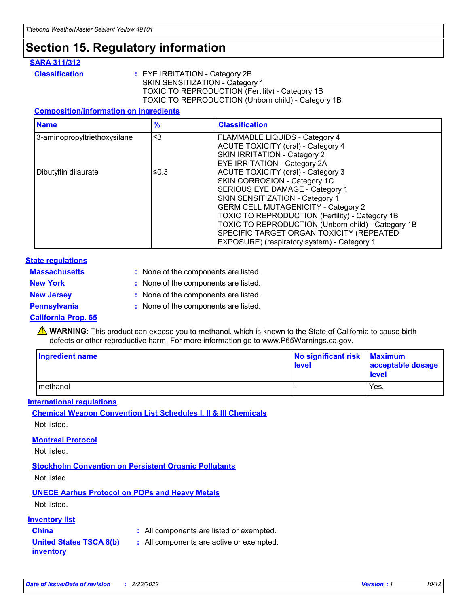## **Section 15. Regulatory information**

#### **SARA 311/312**

**Classification :** EYE IRRITATION - Category 2B SKIN SENSITIZATION - Category 1 TOXIC TO REPRODUCTION (Fertility) - Category 1B TOXIC TO REPRODUCTION (Unborn child) - Category 1B

#### **Composition/information on ingredients**

| <b>Name</b>                              | $\frac{9}{6}$ | <b>Classification</b>                                                                                            |
|------------------------------------------|---------------|------------------------------------------------------------------------------------------------------------------|
| $\leq$ 3<br>3-aminopropyltriethoxysilane |               | <b>FLAMMABLE LIQUIDS - Category 4</b><br><b>ACUTE TOXICITY (oral) - Category 4</b>                               |
|                                          |               | SKIN IRRITATION - Category 2<br>EYE IRRITATION - Category 2A                                                     |
| Dibutyltin dilaurate                     | ≤0.3          | ACUTE TOXICITY (oral) - Category 3<br>SKIN CORROSION - Category 1C                                               |
|                                          |               | SERIOUS EYE DAMAGE - Category 1<br>SKIN SENSITIZATION - Category 1<br><b>GERM CELL MUTAGENICITY - Category 2</b> |
|                                          |               | TOXIC TO REPRODUCTION (Fertility) - Category 1B<br>TOXIC TO REPRODUCTION (Unborn child) - Category 1B            |
|                                          |               | SPECIFIC TARGET ORGAN TOXICITY (REPEATED<br>EXPOSURE) (respiratory system) - Category 1                          |

#### **State regulations**

| <b>Massachusetts</b> | : None of the components are listed. |
|----------------------|--------------------------------------|
| <b>New York</b>      | : None of the components are listed. |
| <b>New Jersey</b>    | : None of the components are listed. |
| Pennsylvania         | : None of the components are listed. |

#### **California Prop. 65**

**A** WARNING: This product can expose you to methanol, which is known to the State of California to cause birth defects or other reproductive harm. For more information go to www.P65Warnings.ca.gov.

| <b>Ingredient name</b> | No significant risk Maximum<br>level | acceptable dosage<br>level |
|------------------------|--------------------------------------|----------------------------|
| methanol               |                                      | Yes.                       |

#### **International regulations**

**Chemical Weapon Convention List Schedules I, II & III Chemicals** Not listed.

#### **Montreal Protocol**

Not listed.

#### **Stockholm Convention on Persistent Organic Pollutants**

Not listed.

### **UNECE Aarhus Protocol on POPs and Heavy Metals**

Not listed.

#### **Inventory list**

### **China :** All components are listed or exempted.

**United States TSCA 8(b) inventory :** All components are active or exempted.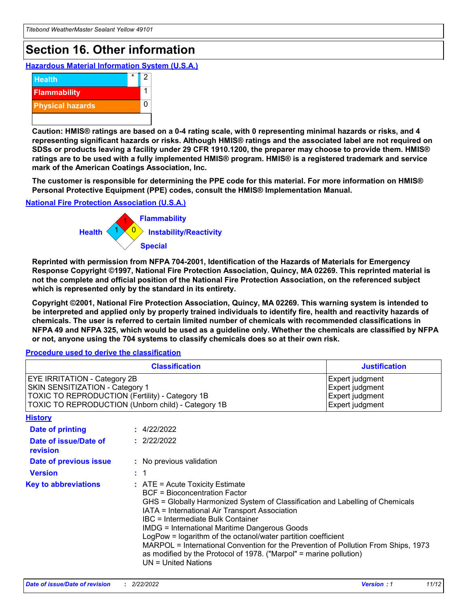## **Section 16. Other information**

**Hazardous Material Information System (U.S.A.)**



**Caution: HMIS® ratings are based on a 0-4 rating scale, with 0 representing minimal hazards or risks, and 4 representing significant hazards or risks. Although HMIS® ratings and the associated label are not required on SDSs or products leaving a facility under 29 CFR 1910.1200, the preparer may choose to provide them. HMIS® ratings are to be used with a fully implemented HMIS® program. HMIS® is a registered trademark and service mark of the American Coatings Association, Inc.**

**The customer is responsible for determining the PPE code for this material. For more information on HMIS® Personal Protective Equipment (PPE) codes, consult the HMIS® Implementation Manual.**

#### **National Fire Protection Association (U.S.A.)**



**Reprinted with permission from NFPA 704-2001, Identification of the Hazards of Materials for Emergency Response Copyright ©1997, National Fire Protection Association, Quincy, MA 02269. This reprinted material is not the complete and official position of the National Fire Protection Association, on the referenced subject which is represented only by the standard in its entirety.**

**Copyright ©2001, National Fire Protection Association, Quincy, MA 02269. This warning system is intended to be interpreted and applied only by properly trained individuals to identify fire, health and reactivity hazards of chemicals. The user is referred to certain limited number of chemicals with recommended classifications in NFPA 49 and NFPA 325, which would be used as a guideline only. Whether the chemicals are classified by NFPA or not, anyone using the 704 systems to classify chemicals does so at their own risk.**

#### **Procedure used to derive the classification**

| <b>Classification</b>                                                                                                                                                    |                                                                                                                                                                                                                                                                                                                                                                                                                                                                                                                                                               | <b>Justification</b>                                                     |
|--------------------------------------------------------------------------------------------------------------------------------------------------------------------------|---------------------------------------------------------------------------------------------------------------------------------------------------------------------------------------------------------------------------------------------------------------------------------------------------------------------------------------------------------------------------------------------------------------------------------------------------------------------------------------------------------------------------------------------------------------|--------------------------------------------------------------------------|
| EYE IRRITATION - Category 2B<br>SKIN SENSITIZATION - Category 1<br>TOXIC TO REPRODUCTION (Fertility) - Category 1B<br>TOXIC TO REPRODUCTION (Unborn child) - Category 1B |                                                                                                                                                                                                                                                                                                                                                                                                                                                                                                                                                               | Expert judgment<br>Expert judgment<br>Expert judgment<br>Expert judgment |
| <b>History</b>                                                                                                                                                           |                                                                                                                                                                                                                                                                                                                                                                                                                                                                                                                                                               |                                                                          |
| <b>Date of printing</b>                                                                                                                                                  | : 4/22/2022                                                                                                                                                                                                                                                                                                                                                                                                                                                                                                                                                   |                                                                          |
| Date of issue/Date of<br>revision                                                                                                                                        | : 2/22/2022                                                                                                                                                                                                                                                                                                                                                                                                                                                                                                                                                   |                                                                          |
| Date of previous issue                                                                                                                                                   | : No previous validation                                                                                                                                                                                                                                                                                                                                                                                                                                                                                                                                      |                                                                          |
| <b>Version</b>                                                                                                                                                           | : 1                                                                                                                                                                                                                                                                                                                                                                                                                                                                                                                                                           |                                                                          |
| <b>Key to abbreviations</b>                                                                                                                                              | $:$ ATE = Acute Toxicity Estimate<br><b>BCF</b> = Bioconcentration Factor<br>GHS = Globally Harmonized System of Classification and Labelling of Chemicals<br>IATA = International Air Transport Association<br>IBC = Intermediate Bulk Container<br><b>IMDG = International Maritime Dangerous Goods</b><br>LogPow = logarithm of the octanol/water partition coefficient<br>MARPOL = International Convention for the Prevention of Pollution From Ships, 1973<br>as modified by the Protocol of 1978. ("Marpol" = marine pollution)<br>UN = United Nations |                                                                          |